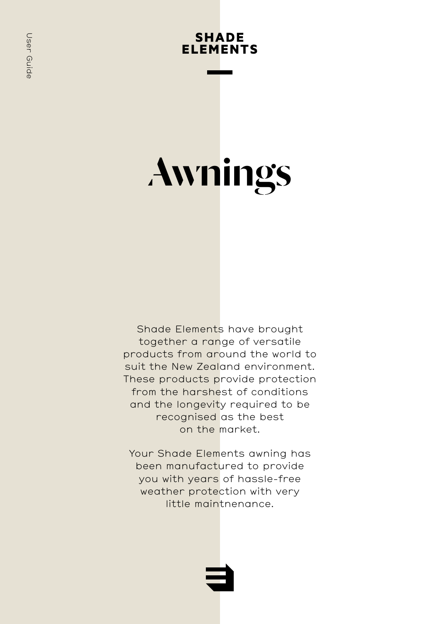# **SHADE ELEMENTS**

# Awnings

Shade Elements have brought together a range of versatile products from around the world to suit the New Zealand environment. These products provide protection from the harshest of conditions and the longevity required to be recognised as the best on the market.

Your Shade Elements awning has been manufactured to provide you with years of hassle-free weather protection with very little maintnenance.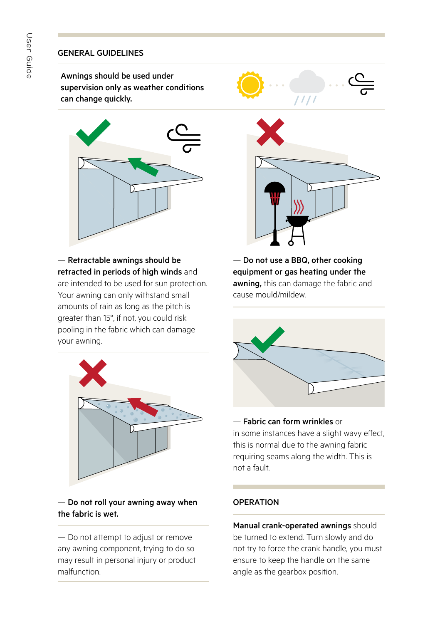# GENERAL GUIDELINES

Awnings should be used under supervision only as weather conditions can change quickly.



— Retractable awnings should be retracted in periods of high winds and are intended to be used for sun protection. Your awning can only withstand small amounts of rain as long as the pitch is greater than 15°, if not, you could risk pooling in the fabric which can damage your awning.



# — Do not roll your awning away when the fabric is wet.

— Do not attempt to adjust or remove any awning component, trying to do so may result in personal injury or product malfunction.



— Do not use a BBQ, other cooking equipment or gas heating under the awning, this can damage the fabric and cause mould/mildew.



# — Fabric can form wrinkles or

in some instances have a slight wavy effect, this is normal due to the awning fabric requiring seams along the width. This is not a fault.

# OPERATION

Manual crank-operated awnings should be turned to extend. Turn slowly and do not try to force the crank handle, you must ensure to keep the handle on the same angle as the gearbox position.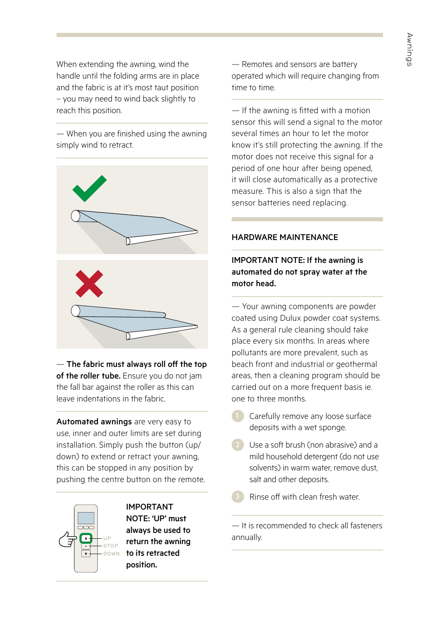When extending the awning, wind the handle until the folding arms are in place and the fabric is at it's most taut position – you may need to wind back slightly to reach this position.

— When you are finished using the awning simply wind to retract.



— The fabric must always roll off the top of the roller tube. Ensure you do not jam the fall bar against the roller as this can leave indentations in the fabric.

Automated awnings are very easy to use, inner and outer limits are set during installation. Simply push the button (up/ down) to extend or retract your awning, this can be stopped in any position by pushing the centre button on the remote.



IMPORTANT NOTE: 'UP' must always be used to return the awning to its retracted position.

— Remotes and sensors are battery operated which will require changing from time to time.

— If the awning is fitted with a motion sensor this will send a signal to the motor several times an hour to let the motor know it's still protecting the awning. If the motor does not receive this signal for a period of one hour after being opened, it will close automatically as a protective measure. This is also a sign that the sensor batteries need replacing.

#### HARDWARE MAINTENANCE

# IMPORTANT NOTE: If the awning is automated do not spray water at the motor head.

— Your awning components are powder coated using Dulux powder coat systems. As a general rule cleaning should take place every six months. In areas where pollutants are more prevalent, such as beach front and industrial or geothermal areas, then a cleaning program should be carried out on a more frequent basis ie. one to three months.

Carefully remove any loose surface deposits with a wet sponge.

2 Use a soft brush (non abrasive) and a mild household detergent (do not use solvents) in warm water, remove dust, salt and other deposits.

Rinse off with clean fresh water.

— It is recommended to check all fasteners annually.